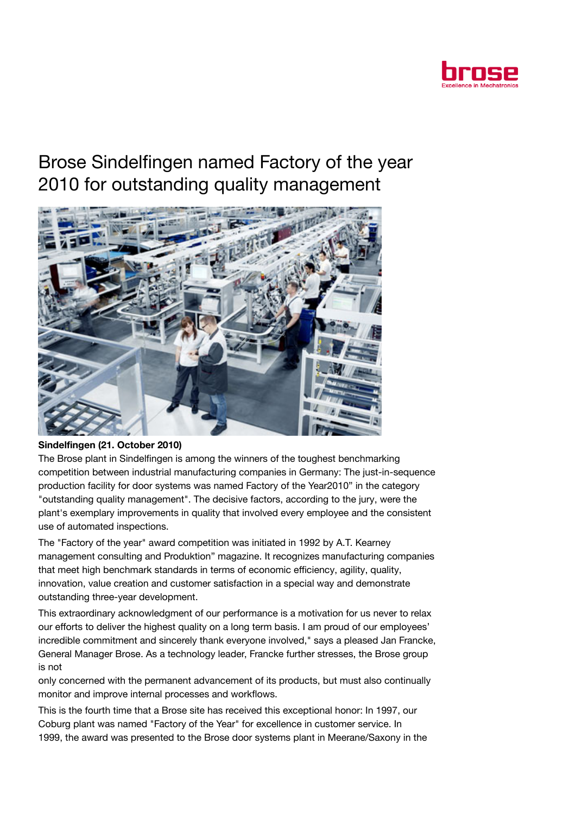

## Brose Sindelfingen named Factory of the year 2010 for outstanding quality management



## Sindelfingen (21. October 2010)

The Brose plant in Sindelfingen is among the winners of the toughest benchmarking competition between industrial manufacturing companies in Germany: The just-in-sequence production facility for door systems was named Factory of the Year2010" in the category "outstanding quality management". The decisive factors, according to the jury, were the plant's exemplary improvements in quality that involved every employee and the consistent use of automated inspections.

The "Factory of the year" award competition was initiated in 1992 by A.T. Kearney management consulting and Produktion" magazine. It recognizes manufacturing companies that meet high benchmark standards in terms of economic efficiency, agility, quality, innovation, value creation and customer satisfaction in a special way and demonstrate outstanding three-year development.

This extraordinary acknowledgment of our performance is a motivation for us never to relax our efforts to deliver the highest quality on a long term basis. I am proud of our employees' incredible commitment and sincerely thank everyone involved," says a pleased Jan Francke, General Manager Brose. As a technology leader, Francke further stresses, the Brose group is not

only concerned with the permanent advancement of its products, but must also continually monitor and improve internal processes and workflows.

This is the fourth time that a Brose site has received this exceptional honor: In 1997, our Coburg plant was named "Factory of the Year" for excellence in customer service. In 1999, the award was presented to the Brose door systems plant in Meerane/Saxony in the